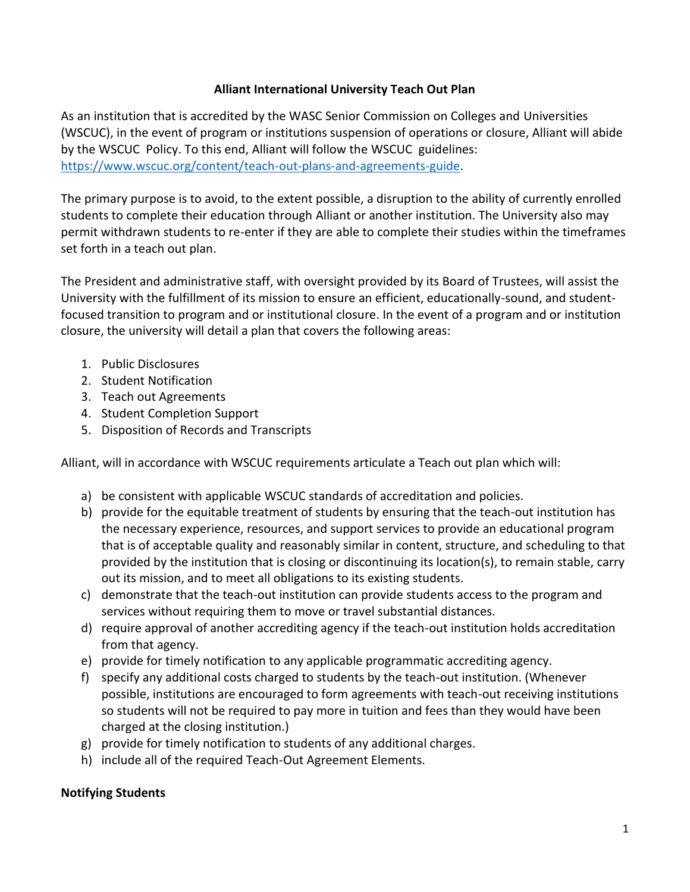## **Alliant International University Teach Out Plan**

As an institution that is accredited by the WASC Senior Commission on Colleges and Universities (WSCUC), in the event of program or institutions suspension of operations or closure, Alliant will abide by the WSCUC Policy. To this end, Alliant will follow the WSCUC guidelines: [https://www.wscuc.org/content/teach-out-plans-and-agreements-guide.](https://www.wscuc.org/content/teach-out-plans-and-agreements-guide)

The primary purpose is to avoid, to the extent possible, a disruption to the ability of currently enrolled students to complete their education through Alliant or another institution. The University also may permit withdrawn students to re-enter if they are able to complete their studies within the timeframes set forth in a teach out plan.

The President and administrative staff, with oversight provided by its Board of Trustees, will assist the University with the fulfillment of its mission to ensure an efficient, educationally-sound, and studentfocused transition to program and or institutional closure. In the event of a program and or institution closure, the university will detail a plan that covers the following areas:

- 1. Public Disclosures
- 2. Student Notification
- 3. Teach out Agreements
- 4. Student Completion Support
- 5. Disposition of Records and Transcripts

Alliant, will in accordance with WSCUC requirements articulate a Teach out plan which will:

- a) be consistent with applicable WSCUC standards of accreditation and policies.
- b) provide for the equitable treatment of students by ensuring that the teach-out institution has the necessary experience, resources, and support services to provide an educational program that is of acceptable quality and reasonably similar in content, structure, and scheduling to that provided by the institution that is closing or discontinuing its location(s), to remain stable, carry out its mission, and to meet all obligations to its existing students.
- c) demonstrate that the teach-out institution can provide students access to the program and services without requiring them to move or travel substantial distances.
- d) require approval of another accrediting agency if the teach-out institution holds accreditation from that agency.
- e) provide for timely notification to any applicable programmatic accrediting agency.
- f) specify any additional costs charged to students by the teach-out institution. (Whenever possible, institutions are encouraged to form agreements with teach-out receiving institutions so students will not be required to pay more in tuition and fees than they would have been charged at the closing institution.)
- g) provide for timely notification to students of any additional charges.
- h) include all of the required Teach-Out Agreement Elements.

## **Notifying Students**